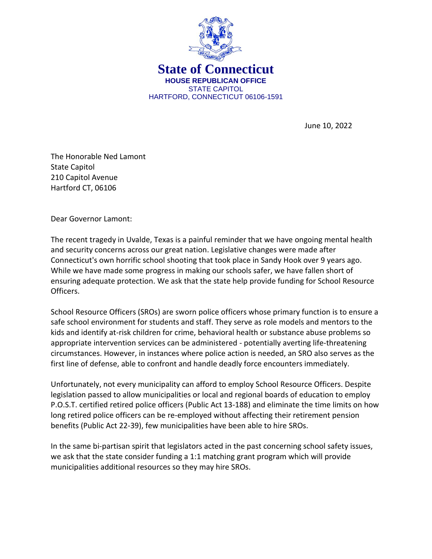

June 10, 2022

The Honorable Ned Lamont State Capitol 210 Capitol Avenue Hartford CT, 06106

Dear Governor Lamont:

The recent tragedy in Uvalde, Texas is a painful reminder that we have ongoing mental health and security concerns across our great nation. Legislative changes were made after Connecticut's own horrific school shooting that took place in Sandy Hook over 9 years ago. While we have made some progress in making our schools safer, we have fallen short of ensuring adequate protection. We ask that the state help provide funding for School Resource Officers.

School Resource Officers (SROs) are sworn police officers whose primary function is to ensure a safe school environment for students and staff. They serve as role models and mentors to the kids and identify at-risk children for crime, behavioral health or substance abuse problems so appropriate intervention services can be administered - potentially averting life-threatening circumstances. However, in instances where police action is needed, an SRO also serves as the first line of defense, able to confront and handle deadly force encounters immediately.

Unfortunately, not every municipality can afford to employ School Resource Officers. Despite legislation passed to allow municipalities or local and regional boards of education to employ P.O.S.T. certified retired police officers (Public Act 13-188) and eliminate the time limits on how long retired police officers can be re-employed without affecting their retirement pension benefits (Public Act 22-39), few municipalities have been able to hire SROs.

In the same bi-partisan spirit that legislators acted in the past concerning school safety issues, we ask that the state consider funding a 1:1 matching grant program which will provide municipalities additional resources so they may hire SROs.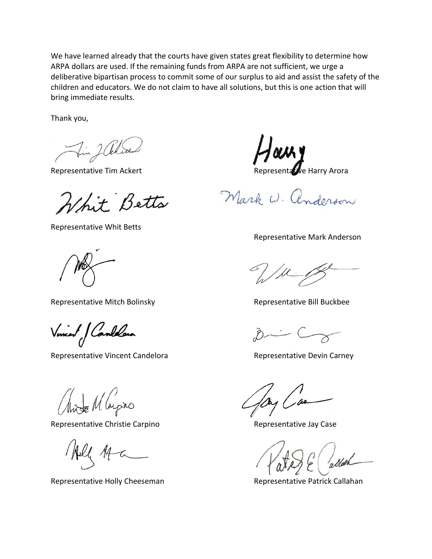We have learned already that the courts have given states great flexibility to determine how ARPA dollars are used. If the remaining funds from ARPA are not sufficient, we urge a deliberative bipartisan process to commit some of our surplus to aid and assist the safety of the children and educators. We do not claim to have all solutions, but this is one action that will bring immediate results.

Thank you,

Fin JOch

Whit Betts

Representative Whit Betts

Representative Mitch Bolinsky **Representative Bill Buckbee** 

Vincent Candelain

Representative Vincent Candelora **Representative Devin Carney** 

Mit Mayro

Representative Christie Carpino **Representative Case** Representative Jay Case

Representative Holly Cheeseman Representative Patrick Callahan

Representative Tim Ackert **Representative Harry Arora** Representative Harry Arora

Mark W. anderson

Representative Mark Anderson

/ fl

 $\mathcal{D} \longrightarrow \mathcal{C}$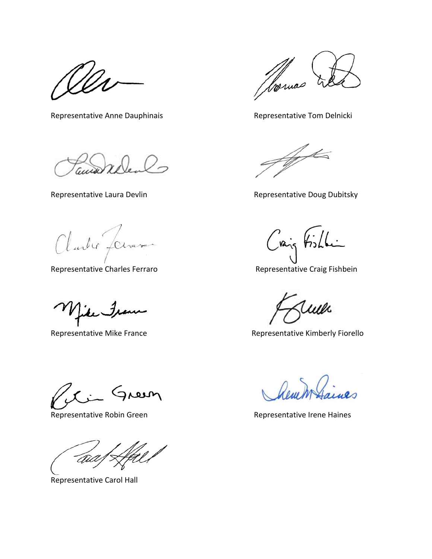Representative Anne Dauphinais **Representative Tom Delnicki** 

ana

Clarles Jenard

Representative Charles Ferraro **Representative Craig Fishbein** 

Jean

Ci Green

Representative Robin Green Representative Irene Haines

 $\mathbb{Z}/\mathbb{Z}$ 'aid

Representative Carol Hall

Romas

Agentes

Representative Laura Devlin **Representative Doug Dubitsky** 

Craig Fishli

wl

Representative Mike France **Representative Kimberly Fiorello**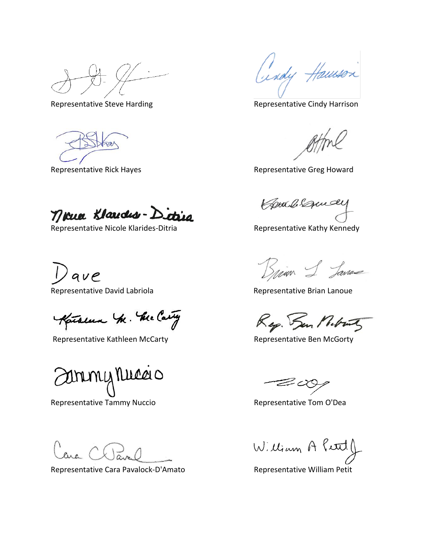Representative Steve Harding The Representative Cindy Harrison

Far

Cindy Haussen

Representative Rick Hayes **Representative Greg Howard** Representative Greg Howard

neua Klaudes-Dictira

Representative Nicole Klarides-Ditria Representative Kathy Kennedy

 $^{\prime}$ ave

Katalun Mr. Me Carty

Representative Kathleen McCarty **Representative Ben McGorty** 

ammy Nuca o

Representative Tammy Nuccio and a subset of Representative Tom O'Dea

Representative Cara Pavalock-D'Amato Representative William Petit

Combiquely

Brian S. Janas

Representative David Labriola **Representative Brian Lanoue** 

Rep. San Milrony

 $\mathcal{Z} \mathcal{\alpha}$ 

William A Petel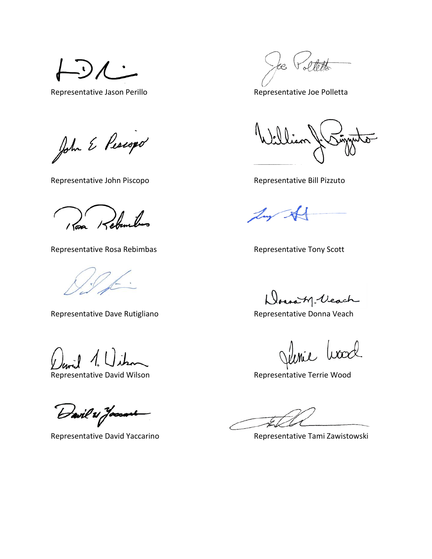\_ い)

John E Pescopo

Representative John Piscopo **Representative Bill Pizzuto** Representative Bill Pizzuto

1 Pora Kebuntus

Representative Rosa Rebimbas **Representative Tony Scott** 

Representative Dave Rutigliano **Representative Donna Veach** 

Representative David Wilson **Representative Terrie Wood** 

Davil & Jaccant

Steth te.

Representative Jason Perillo **Representative Ioe Polletta** 

Lux

Donoity-Veach

<u>Inie</u> Wood

Representative David Yaccarino **Representative Tami Zawistowski**